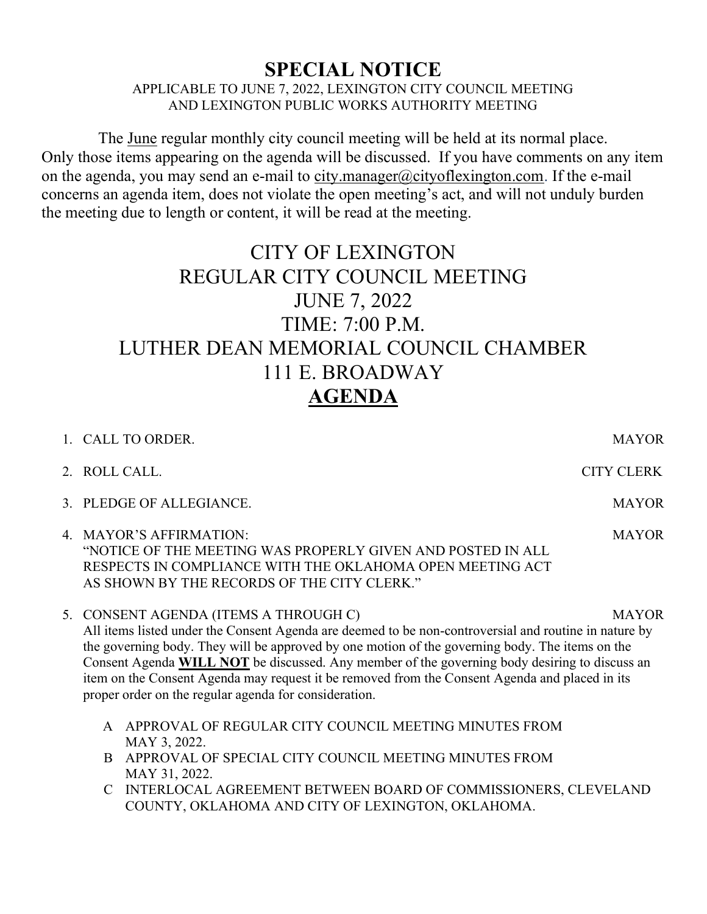## SPECIAL NOTICE

APPLICABLE TO JUNE 7, 2022, LEXINGTON CITY COUNCIL MEETING AND LEXINGTON PUBLIC WORKS AUTHORITY MEETING

The June regular monthly city council meeting will be held at its normal place. Only those items appearing on the agenda will be discussed. If you have comments on any item on the agenda, you may send an e-mail to city.manager@cityoflexington.com. If the e-mail concerns an agenda item, does not violate the open meeting's act, and will not unduly burden the meeting due to length or content, it will be read at the meeting.

## CITY OF LEXINGTON REGULAR CITY COUNCIL MEETING JUNE 7, 2022 TIME: 7:00 P.M. LUTHER DEAN MEMORIAL COUNCIL CHAMBER 111 E. BROADWAY AGENDA

| 1. CALL TO ORDER.                                                                                                                                                                                                                                                                                                                                                                                                                                                                                                             | <b>MAYOR</b>      |  |
|-------------------------------------------------------------------------------------------------------------------------------------------------------------------------------------------------------------------------------------------------------------------------------------------------------------------------------------------------------------------------------------------------------------------------------------------------------------------------------------------------------------------------------|-------------------|--|
| 2. ROLL CALL.                                                                                                                                                                                                                                                                                                                                                                                                                                                                                                                 | <b>CITY CLERK</b> |  |
| 3. PLEDGE OF ALLEGIANCE.                                                                                                                                                                                                                                                                                                                                                                                                                                                                                                      | <b>MAYOR</b>      |  |
| 4. MAYOR'S AFFIRMATION:<br>"NOTICE OF THE MEETING WAS PROPERLY GIVEN AND POSTED IN ALL<br>RESPECTS IN COMPLIANCE WITH THE OKLAHOMA OPEN MEETING ACT<br>AS SHOWN BY THE RECORDS OF THE CITY CLERK."                                                                                                                                                                                                                                                                                                                            | <b>MAYOR</b>      |  |
| 5. CONSENT AGENDA (ITEMS A THROUGH C)<br><b>MAYOR</b><br>All items listed under the Consent Agenda are deemed to be non-controversial and routine in nature by<br>the governing body. They will be approved by one motion of the governing body. The items on the<br>Consent Agenda WILL NOT be discussed. Any member of the governing body desiring to discuss an<br>item on the Consent Agenda may request it be removed from the Consent Agenda and placed in its<br>proper order on the regular agenda for consideration. |                   |  |
| APPROVAL OF REGULAR CITY COUNCIL MEETING MINUTES FROM<br>$\mathsf{A}$<br>MAY 3, 2022.                                                                                                                                                                                                                                                                                                                                                                                                                                         |                   |  |
| APPROVAL OF SPECIAL CITY COUNCIL MEETING MINUTES FROM<br><sub>B</sub><br>MAY 31, 2022.                                                                                                                                                                                                                                                                                                                                                                                                                                        |                   |  |
| INTERLOCAL AGREEMENT BETWEEN BOARD OF COMMISSIONERS, CLEVELAND                                                                                                                                                                                                                                                                                                                                                                                                                                                                |                   |  |

COUNTY, OKLAHOMA AND CITY OF LEXINGTON, OKLAHOMA.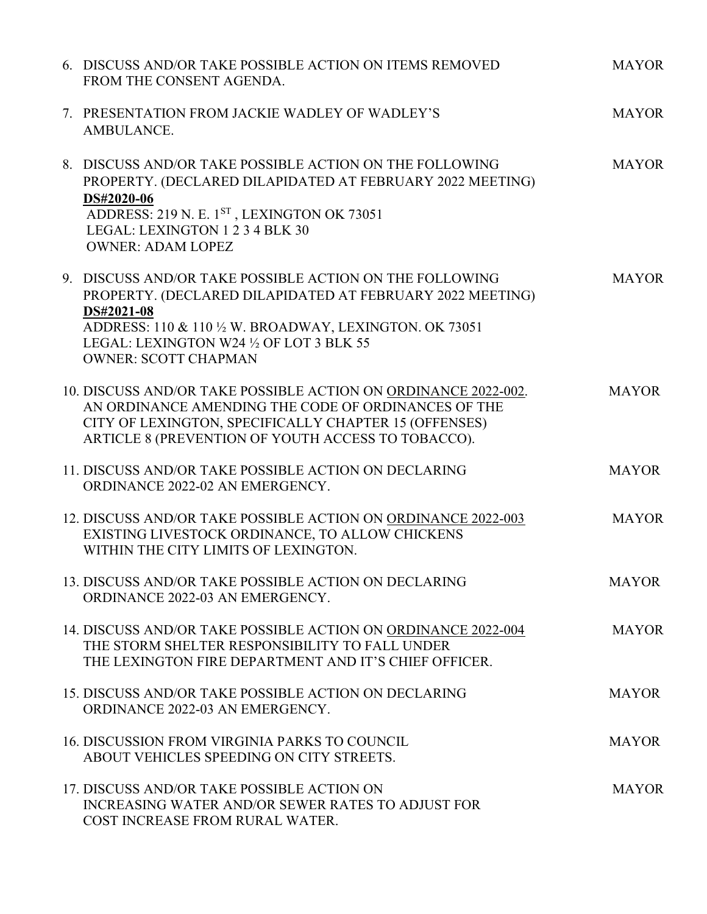| 6. DISCUSS AND/OR TAKE POSSIBLE ACTION ON ITEMS REMOVED<br>FROM THE CONSENT AGENDA.                                                                                                                                                                                      | <b>MAYOR</b> |
|--------------------------------------------------------------------------------------------------------------------------------------------------------------------------------------------------------------------------------------------------------------------------|--------------|
| 7. PRESENTATION FROM JACKIE WADLEY OF WADLEY'S<br>AMBULANCE.                                                                                                                                                                                                             | <b>MAYOR</b> |
| 8. DISCUSS AND/OR TAKE POSSIBLE ACTION ON THE FOLLOWING<br>PROPERTY. (DECLARED DILAPIDATED AT FEBRUARY 2022 MEETING)<br>DS#2020-06<br>ADDRESS: 219 N. E. 1ST, LEXINGTON OK 73051<br>LEGAL: LEXINGTON 1 2 3 4 BLK 30<br><b>OWNER: ADAM LOPEZ</b>                          | <b>MAYOR</b> |
| 9. DISCUSS AND/OR TAKE POSSIBLE ACTION ON THE FOLLOWING<br>PROPERTY. (DECLARED DILAPIDATED AT FEBRUARY 2022 MEETING)<br>DS#2021-08<br>ADDRESS: 110 & 110 1/2 W. BROADWAY, LEXINGTON. OK 73051<br>LEGAL: LEXINGTON W24 1/2 OF LOT 3 BLK 55<br><b>OWNER: SCOTT CHAPMAN</b> | <b>MAYOR</b> |
| 10. DISCUSS AND/OR TAKE POSSIBLE ACTION ON ORDINANCE 2022-002.<br>AN ORDINANCE AMENDING THE CODE OF ORDINANCES OF THE<br>CITY OF LEXINGTON, SPECIFICALLY CHAPTER 15 (OFFENSES)<br>ARTICLE 8 (PREVENTION OF YOUTH ACCESS TO TOBACCO).                                     | <b>MAYOR</b> |
| 11. DISCUSS AND/OR TAKE POSSIBLE ACTION ON DECLARING<br>ORDINANCE 2022-02 AN EMERGENCY.                                                                                                                                                                                  | <b>MAYOR</b> |
| 12. DISCUSS AND/OR TAKE POSSIBLE ACTION ON ORDINANCE 2022-003<br>EXISTING LIVESTOCK ORDINANCE, TO ALLOW CHICKENS<br>WITHIN THE CITY LIMITS OF LEXINGTON.                                                                                                                 | <b>MAYOR</b> |
| 13. DISCUSS AND/OR TAKE POSSIBLE ACTION ON DECLARING<br>ORDINANCE 2022-03 AN EMERGENCY.                                                                                                                                                                                  | <b>MAYOR</b> |
| 14. DISCUSS AND/OR TAKE POSSIBLE ACTION ON ORDINANCE 2022-004<br>THE STORM SHELTER RESPONSIBILITY TO FALL UNDER<br>THE LEXINGTON FIRE DEPARTMENT AND IT'S CHIEF OFFICER.                                                                                                 | <b>MAYOR</b> |
| 15. DISCUSS AND/OR TAKE POSSIBLE ACTION ON DECLARING<br>ORDINANCE 2022-03 AN EMERGENCY.                                                                                                                                                                                  | <b>MAYOR</b> |
| 16. DISCUSSION FROM VIRGINIA PARKS TO COUNCIL<br>ABOUT VEHICLES SPEEDING ON CITY STREETS.                                                                                                                                                                                | <b>MAYOR</b> |
| 17. DISCUSS AND/OR TAKE POSSIBLE ACTION ON<br>INCREASING WATER AND/OR SEWER RATES TO ADJUST FOR<br>COST INCREASE FROM RURAL WATER.                                                                                                                                       | <b>MAYOR</b> |